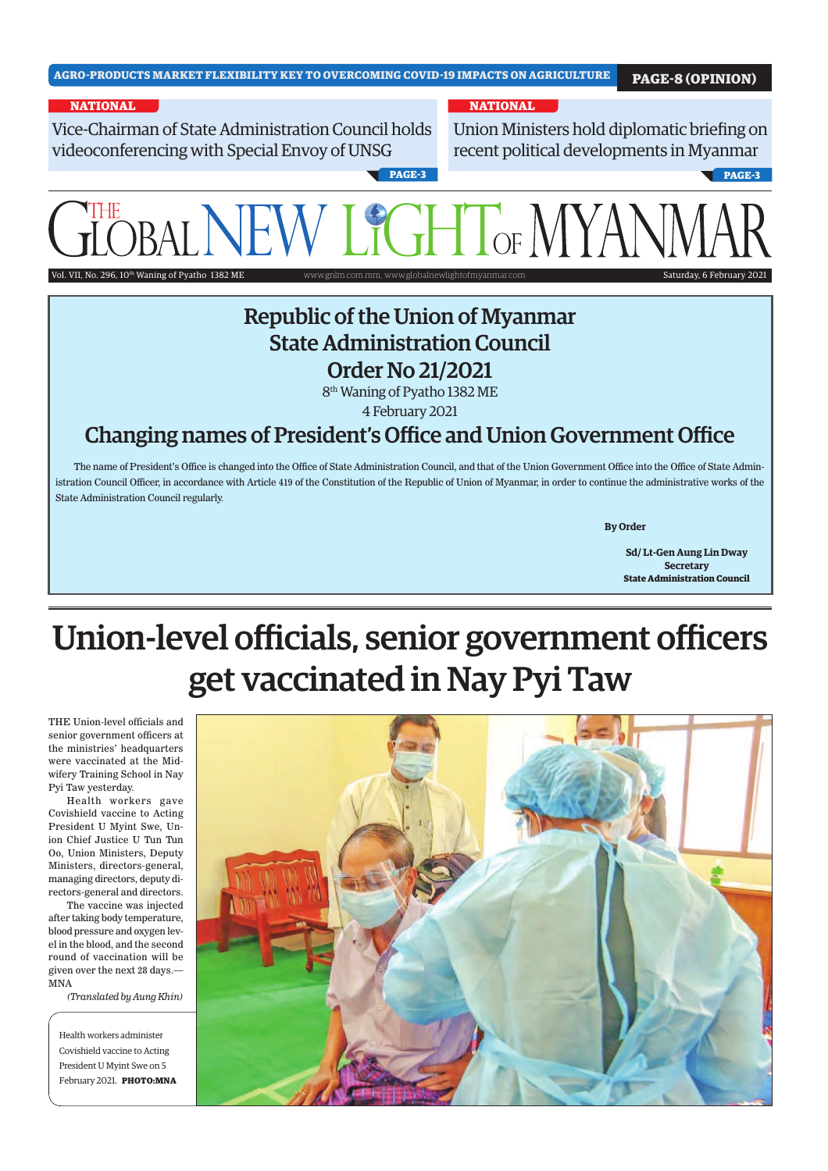Vice-Chairman of State Administration Council holds videoconferencing with Special Envoy of UNSG

#### **NATIONAL NATIONAL**

Union Ministers hold diplomatic briefing on recent political developments in Myanmar

**PAGE-3 PAGE-3**

# $\delta$ d. VII, No. 296, 10<sup>th</sup> Waning of Pyatho

### Republic of the Union of Myanmar State Administration Council Order No 21/2021

8 th Waning of Pyatho 1382 ME 4 February 2021

#### Changing names of President's Office and Union Government Office

The name of President's Office is changed into the Office of State Administration Council, and that of the Union Government Office into the Office of State Administration Council Officer, in accordance with Article 419 of the Constitution of the Republic of Union of Myanmar, in order to continue the administrative works of the State Administration Council regularly.

 **By Order**

**Sd/ Lt-Gen Aung Lin Dway Secretary State Administration Council**

## Union-level officials, senior government officers get vaccinated in Nay Pyi Taw

THE Union-level officials and senior government officers at the ministries' headquarters were vaccinated at the Midwifery Training School in Nay Pyi Taw yesterday.

Health workers gave Covishield vaccine to Acting President U Myint Swe, Union Chief Justice U Tun Tun Oo, Union Ministers, Deputy Ministers, directors-general, managing directors, deputy directors-general and directors.

The vaccine was injected after taking body temperature, blood pressure and oxygen level in the blood, and the second round of vaccination will be given over the next 28 days.— MNA

*(Translated by Aung Khin)*

Health workers administer Covishield vaccine to Acting President U Myint Swe on 5 February 2021. **PHOTO:MNA**

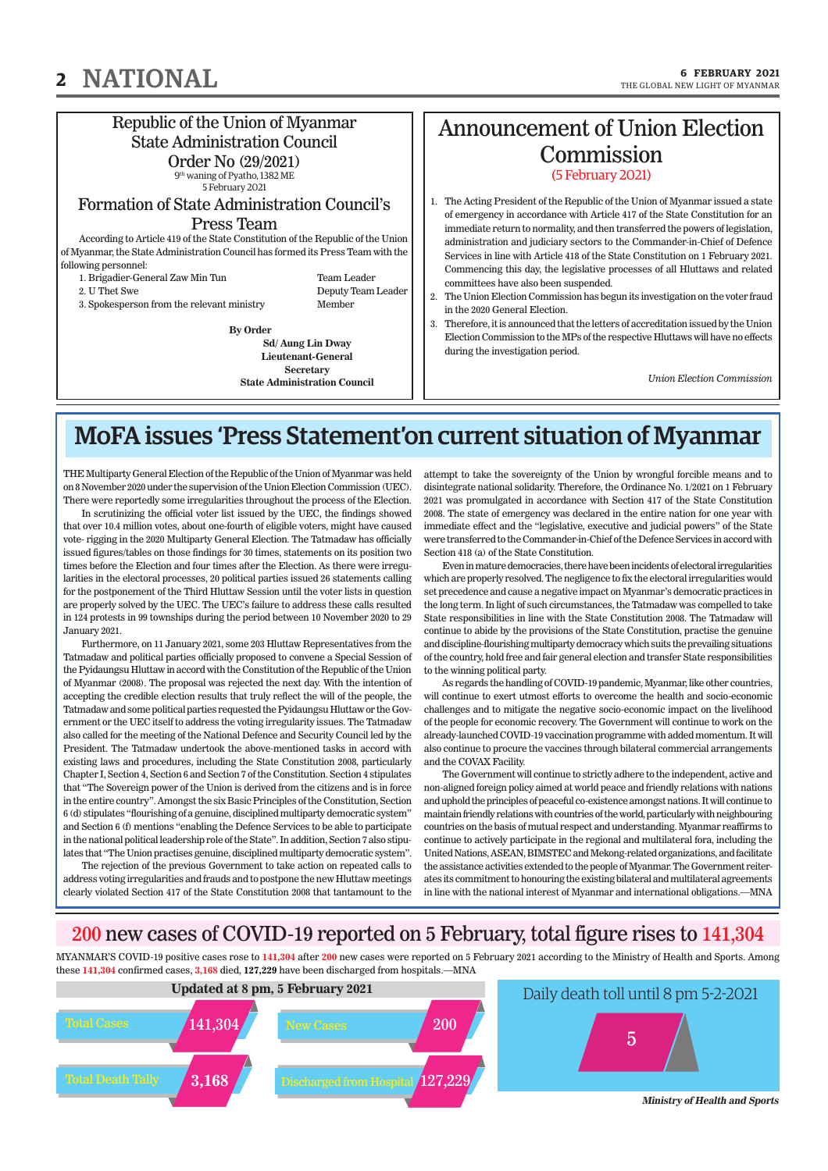#### Republic of the Union of Myanmar State Administration Council

Order No (29/2021) 9 th waning of Pyatho, 1382 ME

5 February 2021 Formation of State Administration Council's

#### Press Team

According to Article 419 of the State Constitution of the Republic of the Union of Myanmar, the State Administration Council has formed its Press Team with the following personnel:

1. Brigadier-General Zaw Min Tun Team Leader 2. U Thet Swe $\hfill$  Deputy Team Leader  $\hfill$ 

Deputy Team Leader 3. Spokesperson from the relevant ministry Member

**By Order Sd/ Aung Lin Dway Lieutenant-General Secretary State Administration Council**

#### Announcement of Union Election **Commission** (5 February 2021)

1. The Acting President of the Republic of the Union of Myanmar issued a state of emergency in accordance with Article 417 of the State Constitution for an immediate return to normality, and then transferred the powers of legislation, administration and judiciary sectors to the Commander-in-Chief of Defence Services in line with Article 418 of the State Constitution on 1 February 2021. Commencing this day, the legislative processes of all Hluttaws and related committees have also been suspended.

- 2. The Union Election Commission has begun its investigation on the voter fraud in the 2020 General Election.
- 3. Therefore, it is announced that the letters of accreditation issued by the Union Election Commission to the MPs of the respective Hluttaws will have no effects during the investigation period.

*Union Election Commission* 

## MoFA issues 'Press Statement'on current situation of Myanmar

THE Multiparty General Election of the Republic of the Union of Myanmar was held on 8 November 2020 under the supervision of the Union Election Commission (UEC). There were reportedly some irregularities throughout the process of the Election.

In scrutinizing the official voter list issued by the UEC, the findings showed that over 10.4 million votes, about one-fourth of eligible voters, might have caused vote- rigging in the 2020 Multiparty General Election. The Tatmadaw has officially issued figures/tables on those findings for 30 times, statements on its position two times before the Election and four times after the Election. As there were irregularities in the electoral processes, 20 political parties issued 26 statements calling for the postponement of the Third Hluttaw Session until the voter lists in question are properly solved by the UEC. The UEC's failure to address these calls resulted in 124 protests in 99 townships during the period between 10 November 2020 to 29 January 2021.

Furthermore, on 11 January 2021, some 203 Hluttaw Representatives from the Tatmadaw and political parties officially proposed to convene a Special Session of the Pyidaungsu Hluttaw in accord with the Constitution of the Republic of the Union of Myanmar (2008). The proposal was rejected the next day. With the intention of accepting the credible election results that truly reflect the will of the people, the Tatmadaw and some political parties requested the Pyidaungsu Hluttaw or the Government or the UEC itself to address the voting irregularity issues. The Tatmadaw also called for the meeting of the National Defence and Security Council led by the President. The Tatmadaw undertook the above-mentioned tasks in accord with existing laws and procedures, including the State Constitution 2008, particularly Chapter I, Section 4, Section 6 and Section 7 of the Constitution. Section 4 stipulates that "The Sovereign power of the Union is derived from the citizens and is in force in the entire country". Amongst the six Basic Principles of the Constitution, Section 6 (d) stipulates "flourishing of a genuine, disciplined multiparty democratic system" and Section 6 (f) mentions "enabling the Defence Services to be able to participate in the national political leadership role of the State". In addition, Section 7 also stipulates that "The Union practises genuine, disciplined multiparty democratic system".

The rejection of the previous Government to take action on repeated calls to address voting irregularities and frauds and to postpone the new Hluttaw meetings clearly violated Section 417 of the State Constitution 2008 that tantamount to the

attempt to take the sovereignty of the Union by wrongful forcible means and to disintegrate national solidarity. Therefore, the Ordinance No. 1/2021 on 1 February 2021 was promulgated in accordance with Section 417 of the State Constitution 2008. The state of emergency was declared in the entire nation for one year with immediate effect and the "legislative, executive and judicial powers" of the State were transferred to the Commander-in-Chief of the Defence Services in accord with Section 418 (a) of the State Constitution.

Even in mature democracies, there have been incidents of electoral irregularities which are properly resolved. The negligence to fix the electoral irregularities would set precedence and cause a negative impact on Myanmar's democratic practices in the long term. In light of such circumstances, the Tatmadaw was compelled to take State responsibilities in line with the State Constitution 2008. The Tatmadaw will continue to abide by the provisions of the State Constitution, practise the genuine and discipline-flourishing multiparty democracy which suits the prevailing situations of the country, hold free and fair general election and transfer State responsibilities to the winning political party.

As regards the handling of COVID-19 pandemic, Myanmar, like other countries, will continue to exert utmost efforts to overcome the health and socio-economic challenges and to mitigate the negative socio-economic impact on the livelihood of the people for economic recovery. The Government will continue to work on the already-launched COVID-19 vaccination programme with added momentum. It will also continue to procure the vaccines through bilateral commercial arrangements and the COVAX Facility.

The Government will continue to strictly adhere to the independent, active and non-aligned foreign policy aimed at world peace and friendly relations with nations and uphold the principles of peaceful co-existence amongst nations. It will continue to maintain friendly relations with countries of the world, particularly with neighbouring countries on the basis of mutual respect and understanding. Myanmar reaffirms to continue to actively participate in the regional and multilateral fora, including the United Nations, ASEAN, BIMSTEC and Mekong-related organizations, and facilitate the assistance activities extended to the people of Myanmar. The Government reiterates its commitment to honouring the existing bilateral and multilateral agreements in line with the national interest of Myanmar and international obligations.—MNA

#### 200 new cases of COVID-19 reported on 5 February, total figure rises to 141,304

MYANMAR'S COVID-19 positive cases rose to **141,304** after **200** new cases were reported on 5 February 2021 according to the Ministry of Health and Sports. Among these **141,304** confirmed cases, **3,168** died, **127,229** have been discharged from hospitals.—MNA





**Ministry of Health and Sports**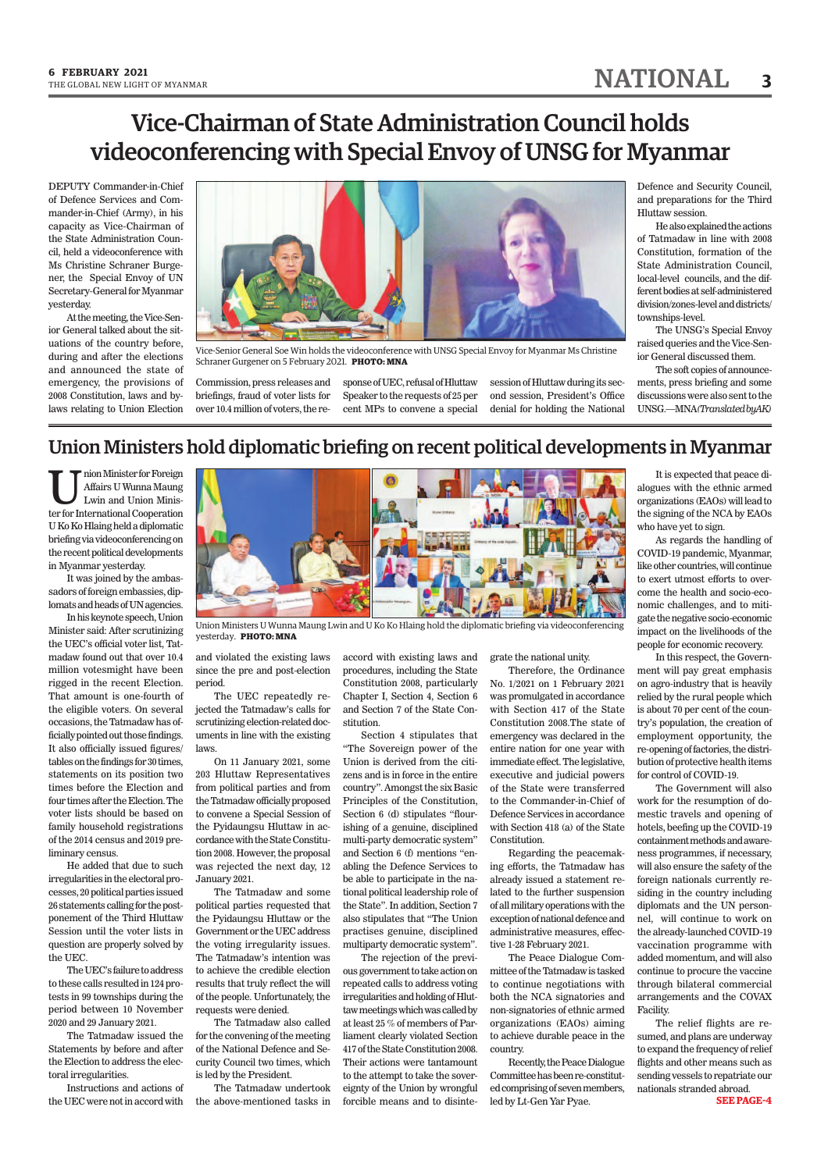## Vice-Chairman of State Administration Council holds videoconferencing with Special Envoy of UNSG for Myanmar

DEPUTY Commander-in-Chief of Defence Services and Commander-in-Chief (Army), in his capacity as Vice-Chairman of the State Administration Council, held a videoconference with Ms Christine Schraner Burgener, the Special Envoy of UN Secretary-General for Myanmar yesterday.

At the meeting, the Vice-Senior General talked about the situations of the country before, during and after the elections and announced the state of emergency, the provisions of 2008 Constitution, laws and bylaws relating to Union Election



Vice-Senior General Soe Win holds the videoconference with UNSG Special Envoy for Myanmar Ms Christine Schraner Gurgener on 5 February 2021. **PHOTO: MNA**

Commission, press releases and briefings, fraud of voter lists for over 10.4 million of voters, the re-

sponse of UEC, refusal of Hluttaw Speaker to the requests of 25 per cent MPs to convene a special

session of Hluttaw during its second session, President's Office denial for holding the National Defence and Security Council, and preparations for the Third Hluttaw session.

He also explained the actions of Tatmadaw in line with 2008 Constitution, formation of the State Administration Council, local-level councils, and the different bodies at self-administered division/zones-level and districts/ townships-level.

The UNSG's Special Envoy raised queries and the Vice-Senior General discussed them.

The soft copies of announcements, press briefing and some discussions were also sent to the UNSG.—MNA*(Translated byAK)*

#### Union Ministers hold diplomatic briefing on recent political developments in Myanmar

 $\begin{array}{ll} \displaystyle\prod_{\text{Lwin and Union Minister}}\text{Affairs U Wunna Maung}\text{Lwin and Union Minister} \end{array}$ nion Minister for Foreign Affairs U Wunna Maung Lwin and Union Minis-U Ko Ko Hlaing held a diplomatic briefing via videoconferencing on the recent political developments in Myanmar yesterday.

It was joined by the ambassadors of foreign embassies, diplomats and heads of UN agencies.

In his keynote speech, Union Minister said: After scrutinizing the UEC's official voter list, Tatmadaw found out that over 10.4 million votesmight have been rigged in the recent Election. That amount is one-fourth of the eligible voters. On several occasions, the Tatmadaw has officially pointed out those findings. It also officially issued figures/ tables on the findings for 30 times, statements on its position two times before the Election and four times after the Election. The voter lists should be based on family household registrations of the 2014 census and 2019 preliminary census.

He added that due to such irregularities in the electoral processes, 20 political parties issued 26 statements calling for the postponement of the Third Hluttaw Session until the voter lists in question are properly solved by the UEC.

The UEC's failure to address to these calls resulted in 124 protests in 99 townships during the period between 10 November 2020 and 29 January 2021.

The Tatmadaw issued the Statements by before and after the Election to address the electoral irregularities.

Instructions and actions of the UEC were not in accord with



Union Ministers U Wunna Maung Lwin and U Ko Ko Hlaing hold the diplomatic briefing via videoconferencing yesterday. **PHOTO: MNA**

and violated the existing laws since the pre and post-election period.

The UEC repeatedly rejected the Tatmadaw's calls for scrutinizing election-related documents in line with the existing laws.

On 11 January 2021, some 203 Hluttaw Representatives from political parties and from the Tatmadaw officially proposed to convene a Special Session of the Pyidaungsu Hluttaw in accordance with the State Constitution 2008. However, the proposal was rejected the next day, 12 January 2021.

The Tatmadaw and some political parties requested that the Pyidaungsu Hluttaw or the Government or the UEC address the voting irregularity issues. The Tatmadaw's intention was to achieve the credible election results that truly reflect the will of the people. Unfortunately, the requests were denied.

The Tatmadaw also called for the convening of the meeting of the National Defence and Security Council two times, which is led by the President.

The Tatmadaw undertook the above-mentioned tasks in accord with existing laws and procedures, including the State Constitution 2008, particularly Chapter I, Section 4, Section 6 and Section 7 of the State Constitution.

Section 4 stipulates that "The Sovereign power of the Union is derived from the citizens and is in force in the entire country". Amongst the six Basic Principles of the Constitution, Section 6 (d) stipulates "flourishing of a genuine, disciplined multi-party democratic system" and Section 6 (f) mentions "enabling the Defence Services to be able to participate in the national political leadership role of the State". In addition, Section 7 also stipulates that "The Union practises genuine, disciplined multiparty democratic system".

The rejection of the previous government to take action on repeated calls to address voting irregularities and holding of Hluttaw meetings which was called by at least 25 % of members of Parliament clearly violated Section 417 of the State Constitution 2008. Their actions were tantamount to the attempt to take the sovereignty of the Union by wrongful forcible means and to disintegrate the national unity.

Therefore, the Ordinance No. 1/2021 on 1 February 2021 was promulgated in accordance with Section 417 of the State Constitution 2008.The state of emergency was declared in the entire nation for one year with immediate effect. The legislative, executive and judicial powers of the State were transferred to the Commander-in-Chief of Defence Services in accordance with Section 418 (a) of the State Constitution.

Regarding the peacemaking efforts, the Tatmadaw has already issued a statement related to the further suspension of all military operations with the exception of national defence and administrative measures, effective 1-28 February 2021.

The Peace Dialogue Committee of the Tatmadaw is tasked to continue negotiations with both the NCA signatories and non-signatories of ethnic armed organizations (EAOs) aiming to achieve durable peace in the country.

Recently, the Peace Dialogue Committee has been re-constituted comprising of seven members, led by Lt-Gen Yar Pyae.

It is expected that peace dialogues with the ethnic armed organizations (EAOs) will lead to the signing of the NCA by EAOs who have yet to sign.

As regards the handling of COVID-19 pandemic, Myanmar, like other countries, will continue to exert utmost efforts to overcome the health and socio-economic challenges, and to mitigate the negative socio-economic impact on the livelihoods of the people for economic recovery.

In this respect, the Government will pay great emphasis on agro-industry that is heavily relied by the rural people which is about 70 per cent of the country's population, the creation of employment opportunity, the re-opening of factories, the distribution of protective health items for control of COVID-19.

The Government will also work for the resumption of domestic travels and opening of hotels, beefing up the COVID-19 containment methods and awareness programmes, if necessary, will also ensure the safety of the foreign nationals currently residing in the country including diplomats and the UN personnel, will continue to work on the already-launched COVID-19 vaccination programme with added momentum, and will also continue to procure the vaccine through bilateral commercial arrangements and the COVAX Facility.

The relief flights are resumed, and plans are underway to expand the frequency of relief flights and other means such as sending vessels to repatriate our nationals stranded abroad.